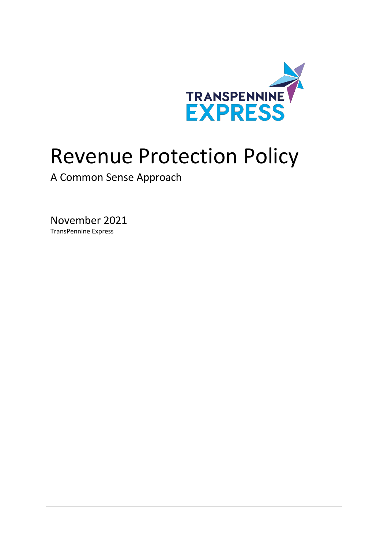

# Revenue Protection Policy

A Common Sense Approach

November 2021 TransPennine Express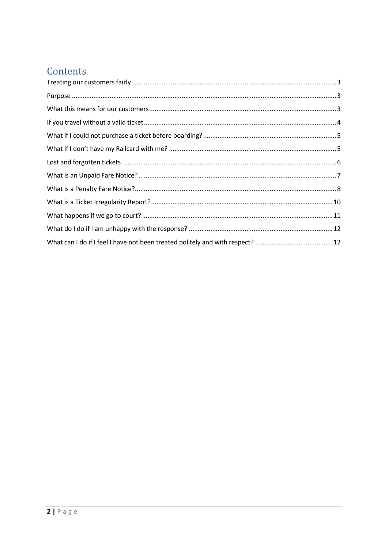## Contents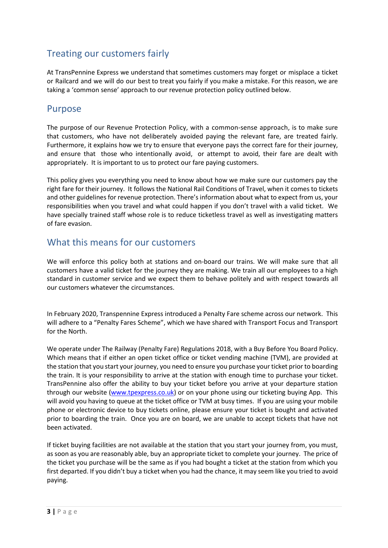## <span id="page-2-0"></span>Treating our customers fairly

At TransPennine Express we understand that sometimes customers may forget or misplace a ticket or Railcard and we will do our best to treat you fairly if you make a mistake. For this reason, we are taking a 'common sense' approach to our revenue protection policy outlined below.

#### <span id="page-2-1"></span>Purpose

The purpose of our Revenue Protection Policy, with a common-sense approach, is to make sure that customers, who have not deliberately avoided paying the relevant fare, are treated fairly. Furthermore, it explains how we try to ensure that everyone pays the correct fare for their journey, and ensure that those who intentionally avoid, or attempt to avoid, their fare are dealt with appropriately. It is important to us to protect our fare paying customers.

This policy gives you everything you need to know about how we make sure our customers pay the right fare for their journey. It follows the National Rail Conditions of Travel, when it comes to tickets and other guidelines for revenue protection. There's information about what to expect from us, your responsibilities when you travel and what could happen if you don't travel with a valid ticket. We have specially trained staff whose role is to reduce ticketless travel as well as investigating matters of fare evasion.

#### <span id="page-2-2"></span>What this means for our customers

We will enforce this policy both at stations and on-board our trains. We will make sure that all customers have a valid ticket for the journey they are making. We train all our employees to a high standard in customer service and we expect them to behave politely and with respect towards all our customers whatever the circumstances.

In February 2020, Transpennine Express introduced a Penalty Fare scheme across our network. This will adhere to a "Penalty Fares Scheme", which we have shared with Transport Focus and Transport for the North.

We operate under The Railway (Penalty Fare) Regulations 2018, with a Buy Before You Board Policy. Which means that if either an open ticket office or ticket vending machine (TVM), are provided at the station that you start your journey, you need to ensure you purchase your ticket prior to boarding the train. It is your responsibility to arrive at the station with enough time to purchase your ticket. TransPennine also offer the ability to buy your ticket before you arrive at your departure station through our website [\(www.tpexpress.co.uk\)](http://www.tpexpress.co.uk/) or on your phone using our ticketing buying App. This will avoid you having to queue at the ticket office or TVM at busy times. If you are using your mobile phone or electronic device to buy tickets online, please ensure your ticket is bought and activated prior to boarding the train. Once you are on board, we are unable to accept tickets that have not been activated.

If ticket buying facilities are not available at the station that you start your journey from, you must, as soon as you are reasonably able, buy an appropriate ticket to complete your journey. The price of the ticket you purchase will be the same as if you had bought a ticket at the station from which you first departed. If you didn't buy a ticket when you had the chance, it may seem like you tried to avoid paying.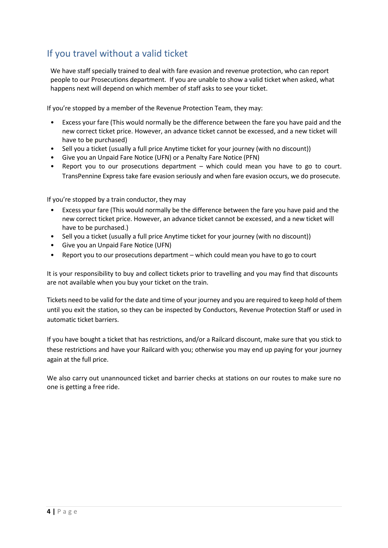## <span id="page-3-0"></span>If you travel without a valid ticket

We have staff specially trained to deal with fare evasion and revenue protection, who can report people to our Prosecutions department. If you are unable to show a valid ticket when asked, what happens next will depend on which member of staff asks to see your ticket.

If you're stopped by a member of the Revenue Protection Team, they may:

- Excess your fare (This would normally be the difference between the fare you have paid and the new correct ticket price. However, an advance ticket cannot be excessed, and a new ticket will have to be purchased)
- Sell you a ticket (usually a full price Anytime ticket for your journey (with no discount))
- Give you an Unpaid Fare Notice (UFN) or a Penalty Fare Notice (PFN)
- Report you to our prosecutions department  $-$  which could mean you have to go to court. TransPennine Express take fare evasion seriously and when fare evasion occurs, we do prosecute.

If you're stopped by a train conductor, they may

- Excess your fare (This would normally be the difference between the fare you have paid and the new correct ticket price. However, an advance ticket cannot be excessed, and a new ticket will have to be purchased.)
- Sell you a ticket (usually a full price Anytime ticket for your journey (with no discount))
- Give you an Unpaid Fare Notice (UFN)
- Report you to our prosecutions department which could mean you have to go to court

It is your responsibility to buy and collect tickets prior to travelling and you may find that discounts are not available when you buy your ticket on the train.

Tickets need to be valid for the date and time of your journey and you are required to keep hold of them until you exit the station, so they can be inspected by Conductors, Revenue Protection Staff or used in automatic ticket barriers.

If you have bought a ticket that has restrictions, and/or a Railcard discount, make sure that you stick to these restrictions and have your Railcard with you; otherwise you may end up paying for your journey again at the full price.

We also carry out unannounced ticket and barrier checks at stations on our routes to make sure no one is getting a free ride.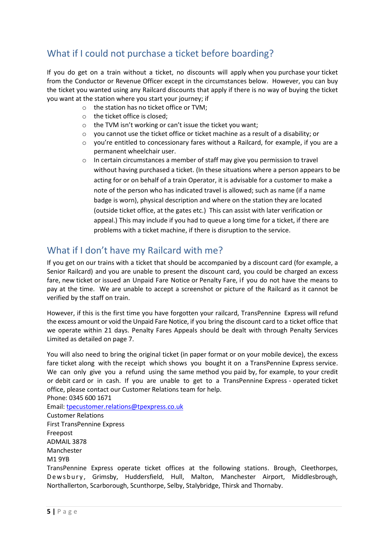## <span id="page-4-0"></span>What if I could not purchase a ticket before boarding?

If you do get on a train without a ticket, no discounts will apply when you purchase your ticket from the Conductor or Revenue Officer except in the circumstances below. However, you can buy the ticket you wanted using any Railcard discounts that apply if there is no way of buying the ticket you want at the station where you start your journey; if

- o the station has no ticket office or TVM;
- o the ticket office is closed;
- o the TVM isn't working or can't issue the ticket you want;
- $\circ$  you cannot use the ticket office or ticket machine as a result of a disability; or
- $\circ$  you're entitled to concessionary fares without a Railcard, for example, if you are a permanent wheelchair user.
- o In certain circumstances a member of staff may give you permission to travel without having purchased a ticket. (In these situations where a person appears to be acting for or on behalf of a train Operator, it is advisable for a customer to make a note of the person who has indicated travel is allowed; such as name (if a name badge is worn), physical description and where on the station they are located (outside ticket office, at the gates etc.) This can assist with later verification or appeal.) This may include if you had to queue a long time for a ticket, if there are problems with a ticket machine, if there is disruption to the service.

## <span id="page-4-1"></span>What if I don't have my Railcard with me?

If you get on our trains with a ticket that should be accompanied by a discount card (for example, a Senior Railcard) and you are unable to present the discount card, you could be charged an excess fare, new ticket or issued an Unpaid Fare Notice or Penalty Fare, if you do not have the means to pay at the time. We are unable to accept a screenshot or picture of the Railcard as it cannot be verified by the staff on train.

However, if this is the first time you have forgotten your railcard, TransPennine Express will refund the excess amount or void the Unpaid Fare Notice, if you bring the discount card to a ticket office that we operate within 21 days. Penalty Fares Appeals should be dealt with through Penalty Services Limited as detailed on page 7.

You will also need to bring the original ticket (in paper format or on your mobile device), the excess fare ticket along with the receipt which shows you bought it on a TransPennine Express service. We can only give you a refund using the same method you paid by, for example, to your credit or debit card or in cash. If you are unable to get to a TransPennine Express - operated ticket office, please contact our Customer Relations team for help. Phone: 0345 600 1671

Email: [tpecustomer.relations@tpexpress.co.uk](mailto:tpecustomer.relations@tpexpress.co.uk) Customer Relations First TransPennine Express Freepost ADMAIL 3878 Manchester M1 9YB TransPennine Express operate ticket offices at the following stations. Brough, Cleethorpes, De w s b u r y, Grimsby, Huddersfield, Hull, Malton, Manchester Airport, Middlesbrough, Northallerton, Scarborough, Scunthorpe, Selby, Stalybridge, Thirsk and Thornaby.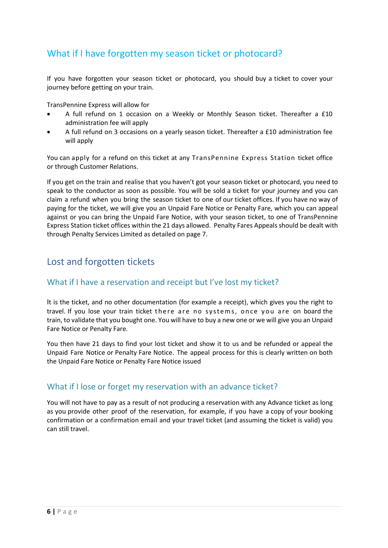## What if I have forgotten my season ticket or photocard?

If you have forgotten your season ticket or photocard, you should buy a ticket to cover your journey before getting on your train.

TransPennine Express will allow for

- A full refund on 1 occasion on a Weekly or Monthly Season ticket. Thereafter a £10 administration fee will apply
- A full refund on 3 occasions on a yearly season ticket. Thereafter a £10 administration fee will apply

You can apply for a refund on this ticket at any TransPennine Express Station ticket office or through Customer Relations.

If you get on the train and realise that you haven't got your season ticket or photocard, you need to speak to the conductor as soon as possible. You will be sold a ticket for your journey and you can claim a refund when you bring the season ticket to one of our ticket offices. If you have no way of paying for the ticket, we will give you an Unpaid Fare Notice or Penalty Fare, which you can appeal against or you can bring the Unpaid Fare Notice, with your season ticket, to one of TransPennine Express Station ticket offices within the 21 days allowed. Penalty Fares Appeals should be dealt with through Penalty Services Limited as detailed on page 7.

## <span id="page-5-0"></span>Lost and forgotten tickets

#### What if I have a reservation and receipt but I've lost my ticket?

It is the ticket, and no other documentation (for example a receipt), which gives you the right to travel. If you lose your train ticket there are no systems, once you are on board the train, to validate that you bought one. You will have to buy a new one or we will give you an Unpaid Fare Notice or Penalty Fare.

You then have 21 days to find your lost ticket and show it to us and be refunded or appeal the Unpaid Fare Notice or Penalty Fare Notice. The appeal process for this is clearly written on both the Unpaid Fare Notice or Penalty Fare Notice issued

#### What if I lose or forget my reservation with an advance ticket?

You will not have to pay as a result of not producing a reservation with any Advance ticket as long as you provide other proof of the reservation, for example, if you have a copy of your booking confirmation or a confirmation email and your travel ticket (and assuming the ticket is valid) you can still travel.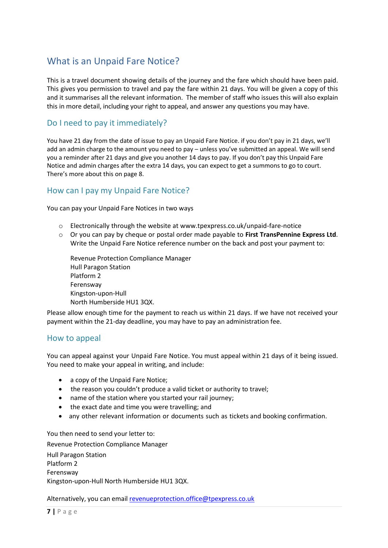## <span id="page-6-0"></span>What is an Unpaid Fare Notice?

This is a travel document showing details of the journey and the fare which should have been paid. This gives you permission to travel and pay the fare within 21 days. You will be given a copy of this and it summarises all the relevant information. The member of staff who issues this will also explain this in more detail, including your right to appeal, and answer any questions you may have.

#### Do I need to pay it immediately?

You have 21 day from the date of issue to pay an Unpaid Fare Notice. if you don't pay in 21 days, we'll add an admin charge to the amount you need to pay – unless you've submitted an appeal. We will send you a reminder after 21 days and give you another 14 days to pay. If you don't pay this Unpaid Fare Notice and admin charges after the extra 14 days, you can expect to get a summons to go to court. There's more about this on page 8.

#### How can I pay my Unpaid Fare Notice?

You can pay your Unpaid Fare Notices in two ways

- o Electronically through the website at [www.tpexpress.co.uk/unpaid-fare-notice](https://www.tpexpress.co.uk/help/unpaid-fare-notice)
- o Or you can pay by cheque or postal order made payable to **First TransPennine Express Ltd**. Write the Unpaid Fare Notice reference number on the back and post your payment to:

Revenue Protection Compliance Manager Hull Paragon Station Platform 2 Ferensway Kingston-upon-Hull North Humberside HU1 3QX.

Please allow enough time for the payment to reach us within 21 days. If we have not received your payment within the 21-day deadline, you may have to pay an administration fee.

#### How to appeal

You can appeal against your Unpaid Fare Notice. You must appeal within 21 days of it being issued. You need to make your appeal in writing, and include:

- a copy of the Unpaid Fare Notice;
- the reason you couldn't produce a valid ticket or authority to travel;
- name of the station where you started your rail journey;
- the exact date and time you were travelling; and
- any other relevant information or documents such as tickets and booking confirmation.

You then need to send your letter to:

Revenue Protection Compliance Manager Hull Paragon Station Platform 2 Ferensway Kingston-upon-Hull North Humberside HU1 3QX.

Alternatively, you can emai[l revenueprotection.office@tpexpress.co.uk](mailto:revenueprotection.office@tpexpress.co.uk)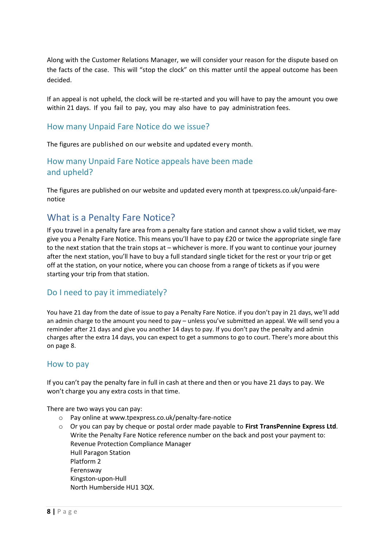Along with the Customer Relations Manager, we will consider your reason for the dispute based on the facts of the case. This will "stop the clock" on this matter until the appeal outcome has been decided.

If an appeal is not upheld, the clock will be re-started and you will have to pay the amount you owe within 21 days. If you fail to pay, you may also have to pay administration fees.

#### How many Unpaid Fare Notice do we issue?

The figures are published on our website and updated every month.

#### How many Unpaid Fare Notice appeals have been made and upheld?

The figures are published on our website and updated every month at [tpexpress.co.uk/unpaid-fare](https://protect-eu.mimecast.com/s/uV4rCA6NOf63NAZFwe4Kr?domain=tpexpress.co.uk)[notice](https://protect-eu.mimecast.com/s/uV4rCA6NOf63NAZFwe4Kr?domain=tpexpress.co.uk)

## <span id="page-7-0"></span>What is a Penalty Fare Notice?

If you travel in a penalty fare area from a penalty fare station and cannot show a valid ticket, we may give you a Penalty Fare Notice. This means you'll have to pay £20 or twice the appropriate single fare to the next station that the train stops at – whichever is more. If you want to continue your journey after the next station, you'll have to buy a full standard single ticket for the rest or your trip or get off at the station, on your notice, where you can choose from a range of tickets as if you were starting your trip from that station.

#### Do I need to pay it immediately?

You have 21 day from the date of issue to pay a Penalty Fare Notice. if you don't pay in 21 days, we'll add an admin charge to the amount you need to pay – unless you've submitted an appeal. We will send you a reminder after 21 days and give you another 14 days to pay. If you don't pay the penalty and admin charges after the extra 14 days, you can expect to get a summons to go to court. There's more about this on page 8.

#### How to pay

If you can't pay the penalty fare in full in cash at there and then or you have 21 days to pay. We won't charge you any extra costs in that time.

There are two ways you can pay:

- o Pay online at www[.tpexpress.co.uk/penalty-fare-notice](https://protect-eu.mimecast.com/s/Uft-CBrNES6975DFpxOB3?domain=tpexpress.co.uk)
- o Or you can pay by cheque or postal order made payable to **First TransPennine Express Ltd**. Write the Penalty Fare Notice reference number on the back and post your payment to: Revenue Protection Compliance Manager Hull Paragon Station Platform 2 Ferensway Kingston-upon-Hull North Humberside HU1 3QX.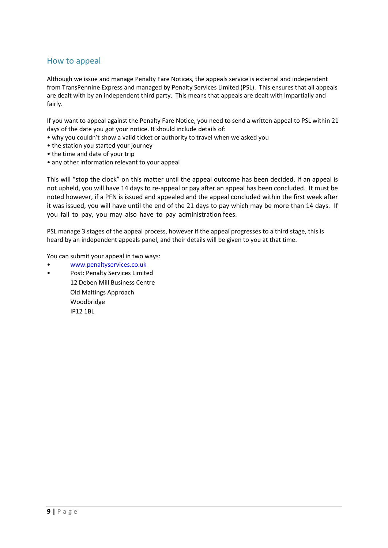#### How to appeal

Although we issue and manage Penalty Fare Notices, the appeals service is external and independent from TransPennine Express and managed by Penalty Services Limited (PSL). This ensures that all appeals are dealt with by an independent third party. This means that appeals are dealt with impartially and fairly.

If you want to appeal against the Penalty Fare Notice, you need to send a written appeal to PSL within 21 days of the date you got your notice. It should include details of:

- why you couldn't show a valid ticket or authority to travel when we asked you
- the station you started your journey
- the time and date of your trip
- any other information relevant to your appeal

This will "stop the clock" on this matter until the appeal outcome has been decided. If an appeal is not upheld, you will have 14 days to re-appeal or pay after an appeal has been concluded. It must be noted however, if a PFN is issued and appealed and the appeal concluded within the first week after it was issued, you will have until the end of the 21 days to pay which may be more than 14 days. If you fail to pay, you may also have to pay administration fees.

PSL manage 3 stages of the appeal process, however if the appeal progresses to a third stage, this is heard by an independent appeals panel, and their details will be given to you at that time.

You can submit your appeal in two ways:

- [www.penaltyservices.co.uk](http://www.penaltyservices.co.uk/)
- Post: Penalty Services Limited 12 Deben Mill Business Centre Old Maltings Approach Woodbridge IP12 1BL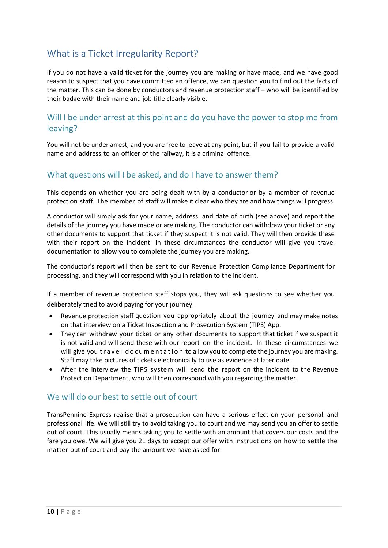## <span id="page-9-0"></span>What is a Ticket Irregularity Report?

If you do not have a valid ticket for the journey you are making or have made, and we have good reason to suspect that you have committed an offence, we can question you to find out the facts of the matter. This can be done by conductors and revenue protection staff – who will be identified by their badge with their name and job title clearly visible.

#### Will I be under arrest at this point and do you have the power to stop me from leaving?

You will not be under arrest, and you are free to leave at any point, but if you fail to provide a valid name and address to an officer of the railway, it is a criminal offence.

#### What questions will I be asked, and do I have to answer them?

This depends on whether you are being dealt with by a conductor or by a member of revenue protection staff. The member of staff will make it clear who they are and how things will progress.

A conductor will simply ask for your name, address and date of birth (see above) and report the details of the journey you have made or are making. The conductor can withdraw your ticket or any other documents to support that ticket if they suspect it is not valid. They will then provide these with their report on the incident. In these circumstances the conductor will give you travel documentation to allow you to complete the journey you are making.

The conductor's report will then be sent to our Revenue Protection Compliance Department for processing, and they will correspond with you in relation to the incident.

If a member of revenue protection staff stops you, they will ask questions to see whether you deliberately tried to avoid paying for your journey.

- Revenue protection staff question you appropriately about the journey and may make notes on that interview on a Ticket Inspection and Prosecution System (TIPS) App.
- They can withdraw your ticket or any other documents to support that ticket if we suspect it is not valid and will send these with our report on the incident. In these circumstances we will give you travel documentation to allow you to complete the journey you are making. Staff may take pictures of tickets electronically to use as evidence at later date.
- After the interview the TIPS system will send the report on the incident to the Revenue Protection Department, who will then correspond with you regarding the matter.

#### We will do our best to settle out of court

TransPennine Express realise that a prosecution can have a serious effect on your personal and professional life. We will still try to avoid taking you to court and we may send you an offer to settle out of court. This usually means asking you to settle with an amount that covers our costs and the fare you owe. We will give you 21 days to accept our offer with instructions on how to settle the matter out of court and pay the amount we have asked for.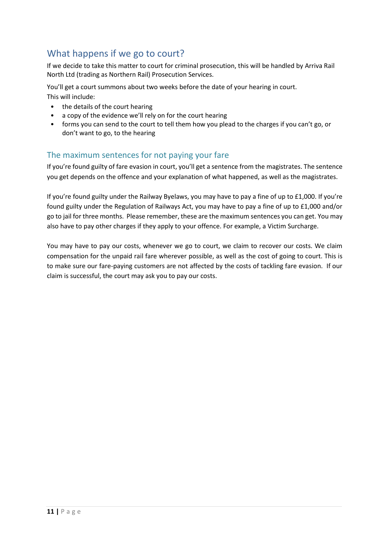## <span id="page-10-0"></span>What happens if we go to court?

If we decide to take this matter to court for criminal prosecution, this will be handled by Arriva Rail North Ltd (trading as Northern Rail) Prosecution Services.

You'll get a court summons about two weeks before the date of your hearing in court.

This will include:

- the details of the court hearing
- a copy of the evidence we'll rely on for the court hearing
- forms you can send to the court to tell them how you plead to the charges if you can't go, or don't want to go, to the hearing

#### The maximum sentences for not paying your fare

If you're found guilty of fare evasion in court, you'll get a sentence from the magistrates. The sentence you get depends on the offence and your explanation of what happened, as well as the magistrates.

If you're found guilty under the Railway Byelaws, you may have to pay a fine of up to £1,000. If you're found guilty under the Regulation of Railways Act, you may have to pay a fine of up to £1,000 and/or go to jail for three months. Please remember, these are the maximum sentences you can get. You may also have to pay other charges if they apply to your offence. For example, a Victim Surcharge.

You may have to pay our costs, whenever we go to court, we claim to recover our costs. We claim compensation for the unpaid rail fare wherever possible, as well as the cost of going to court. This is to make sure our fare-paying customers are not affected by the costs of tackling fare evasion. If our claim is successful, the court may ask you to pay our costs.